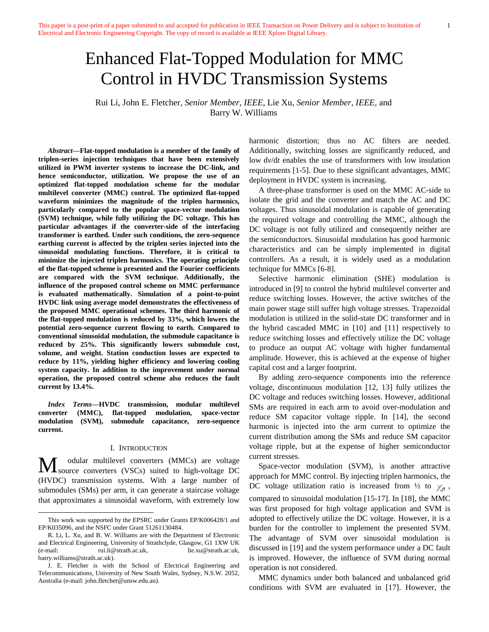# Enhanced Flat-Topped Modulation for MMC Control in HVDC Transmission Systems

Rui Li, John E. Fletcher, *Senior Member, IEEE*, Lie Xu, *Senior Member, IEEE*, and Barry W. Williams

*Abstract***—Flat-topped modulation is a member of the family of triplen-series injection techniques that have been extensively utilized in PWM inverter systems to increase the DC-link, and hence semiconductor, utilization. We propose the use of an optimized flat-topped modulation scheme for the modular multilevel converter (MMC) control. The optimized flat-topped waveform minimizes the magnitude of the triplen harmonics, particularly compared to the popular space-vector modulation (SVM) technique, while fully utilizing the DC voltage. This has particular advantages if the converter-side of the interfacing transformer is earthed. Under such conditions, the zero-sequence earthing current is affected by the triplen series injected into the sinusoidal modulating functions. Therefore, it is critical to minimize the injected triplen harmonics. The operating principle of the flat-topped scheme is presented and the Fourier coefficients are compared with the SVM technique. Additionally, the influence of the proposed control scheme on MMC performance is evaluated mathematically. Simulation of a point-to-point HVDC link using average model demonstrates the effectiveness of the proposed MMC operational schemes. The third harmonic of the flat-topped modulation is reduced by 33%, which lowers the potential zero-sequence current flowing to earth. Compared to conventional sinusoidal modulation, the submodule capacitance is reduced by 25%. This significantly lowers submodule cost, volume, and weight. Station conduction losses are expected to reduce by 11%, yielding higher efficiency and lowering cooling system capacity. In addition to the improvement under normal operation, the proposed control scheme also reduces the fault current by 13.4%.** 

*Index Terms***—HVDC transmission, modular multilevel converter (MMC), flat-topped modulation, space-vector modulation (SVM), submodule capacitance, zero-sequence current.**

## I. INTRODUCTION

odular multilevel converters (MMCs) are voltage M source converters (VSCs) suited to high-voltage DC (HVDC) transmission systems. With a large number of submodules (SMs) per arm, it can generate a staircase voltage that approximates a sinusoidal waveform, with extremely low

 $\overline{\phantom{a}}$ 

harmonic distortion; thus no AC filters are needed. Additionally, switching losses are significantly reduced, and low d*v*/d*t* enables the use of transformers with low insulation requirements [\[1-5\]](#page-8-0). Due to these significant advantages, MMC deployment in HVDC system is increasing.

A three-phase transformer is used on the MMC AC-side to isolate the grid and the converter and match the AC and DC voltages. Thus sinusoidal modulation is capable of generating the required voltage and controlling the MMC, although the DC voltage is not fully utilized and consequently neither are the semiconductors. Sinusoidal modulation has good harmonic characteristics and can be simply implemented in digital controllers. As a result, it is widely used as a modulation technique for MMCs [\[6-8\]](#page-8-1).

Selective harmonic elimination (SHE) modulation is introduced in [\[9\]](#page-8-2) to control the hybrid multilevel converter and reduce switching losses. However, the active switches of the main power stage still suffer high voltage stresses. Trapezoidal modulation is utilized in the solid-state DC transformer and in the hybrid cascaded MMC in [\[10\]](#page-8-3) and [\[11\]](#page-8-4) respectively to reduce switching losses and effectively utilize the DC voltage to produce an output AC voltage with higher fundamental amplitude. However, this is achieved at the expense of higher capital cost and a larger footprint.

By adding zero-sequence components into the reference voltage, discontinuous modulation [\[12,](#page-8-5) [13\]](#page-8-6) fully utilizes the DC voltage and reduces switching losses. However, additional SMs are required in each arm to avoid over-modulation and reduce SM capacitor voltage ripple. In [\[14\]](#page-8-7), the second harmonic is injected into the arm current to optimize the current distribution among the SMs and reduce SM capacitor voltage ripple, but at the expense of higher semiconductor current stresses.

Space-vector modulation (SVM), is another attractive approach for MMC control. By injecting triplen harmonics, the DC voltage utilization ratio is increased from  $\frac{1}{2}$  to  $\frac{1}{\sqrt{5}}$ , compared to sinusoidal modulation [\[15-17\]](#page-8-8). In [\[18\]](#page-8-9), the MMC was first proposed for high voltage application and SVM is adopted to effectively utilize the DC voltage. However, it is a burden for the controller to implement the presented SVM. The advantage of SVM over sinusoidal modulation is discussed in [\[19\]](#page-8-10) and the system performance under a DC fault is improved. However, the influence of SVM during normal operation is not considered.

MMC dynamics under both balanced and unbalanced grid conditions with SVM are evaluated in [\[17\]](#page-8-11). However, the

This work was supported by the EPSRC under Grants EP/K006428/1 and EP/K035096, and the NSFC under Grant 51261130484.

R. Li, L. Xu, and B. W. Williams are with the Department of Electronic and Electrical Engineering, University of Strathclyde, Glasgow, G1 1XW UK (e-mail: [rui.li@strath.ac.uk,](mailto:rui.li@strath.ac.uk) lie.xu@strath.ac.uk, barry.williams@strath.ac.uk).

J. E. Fletcher is with the School of Electrical Engineering and Telecommunications, University of New South Wales, Sydney, N.S.W. 2052, Australia (e-mail: john.fletcher@unsw.edu.au).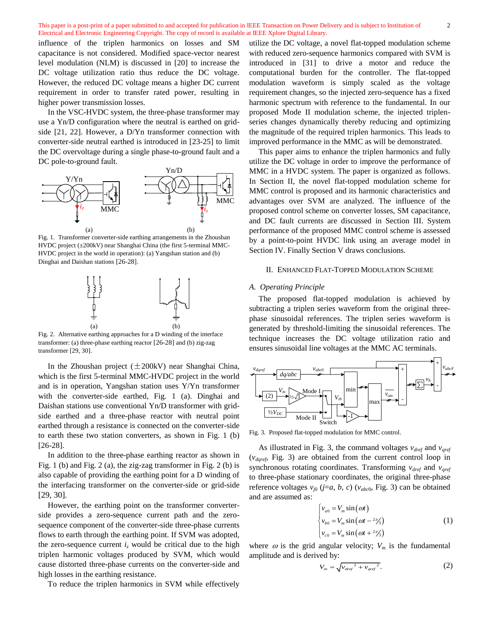influence of the triplen harmonics on losses and SM capacitance is not considered. Modified space-vector nearest level modulation (NLM) is discussed in [\[20\]](#page-8-12) to increase the DC voltage utilization ratio thus reduce the DC voltage. However, the reduced DC voltage means a higher DC current requirement in order to transfer rated power, resulting in higher power transmission losses.

In the VSC-HVDC system, the three-phase transformer may use a Yn/D configuration where the neutral is earthed on gridside [\[21,](#page-8-13) [22\]](#page-8-14). However, a D/Yn transformer connection with converter-side neutral earthed is introduced in [\[23-25\]](#page-8-15) to limit the DC overvoltage during a single phase-to-ground fault and a DC pole-to-ground fault.



Fig. 1. Transformer converter-side earthing arrangements in the Zhoushan HVDC project (±200kV) near Shanghai China (the first 5-terminal MMC-HVDC project in the world in operation): (a) Yangshan station and (b) Dinghai and Daishan stations [\[26-28\]](#page-8-16).



Fig. 2. Alternative earthing approaches for a D winding of the interface transformer: (a) three-phase earthing reactor [\[26-28\]](#page-8-16) and (b) zig-zag transformer [\[29,](#page-8-17) [30\]](#page-8-18).

In the Zhoushan project  $(\pm 200 \text{kV})$  near Shanghai China, which is the first 5-terminal MMC-HVDC project in the world and is in operation, Yangshan station uses Y/Yn transformer with the converter-side earthed, Fig. 1 (a). Dinghai and Daishan stations use conventional Yn/D transformer with gridside earthed and a three-phase reactor with neutral point earthed through a resistance is connected on the converter-side to earth these two station converters, as shown in Fig. 1 (b) [\[26-28\]](#page-8-16).

In addition to the three-phase earthing reactor as shown in Fig. 1 (b) and Fig. 2 (a), the zig-zag transformer in Fig. 2 (b) is also capable of providing the earthing point for a D winding of the interfacing transformer on the converter-side or grid-side [\[29,](#page-8-17) [30\]](#page-8-18).

However, the earthing point on the transformer converterside provides a zero-sequence current path and the zerosequence component of the converter-side three-phase currents flows to earth through the earthing point. If SVM was adopted, the zero-sequence current  $i<sub>z</sub>$  would be critical due to the high triplen harmonic voltages produced by SVM, which would cause distorted three-phase currents on the converter-side and high losses in the earthing resistance.

To reduce the triplen harmonics in SVM while effectively

utilize the DC voltage, a novel flat-topped modulation scheme with reduced zero-sequence harmonics compared with SVM is introduced in [\[31\]](#page-9-0) to drive a motor and reduce the computational burden for the controller. The flat-topped modulation waveform is simply scaled as the voltage requirement changes, so the injected zero-sequence has a fixed harmonic spectrum with reference to the fundamental. In our proposed Mode II modulation scheme, the injected triplenseries changes dynamically thereby reducing and optimizing the magnitude of the required triplen harmonics. This leads to improved performance in the MMC as will be demonstrated.

This paper aims to enhance the triplen harmonics and fully utilize the DC voltage in order to improve the performance of MMC in a HVDC system. The paper is organized as follows. In Section II, the novel flat-topped modulation scheme for MMC control is proposed and its harmonic characteristics and advantages over SVM are analyzed. The influence of the proposed control scheme on converter losses, SM capacitance, and DC fault currents are discussed in Section III. System performance of the proposed MMC control scheme is assessed by a point-to-point HVDC link using an average model in Section IV. Finally Section V draws conclusions.

#### II. ENHANCED FLAT-TOPPED MODULATION SCHEME

#### *A. Operating Principle*

The proposed flat-topped modulation is achieved by subtracting a triplen series waveform from the original threephase sinusoidal references. The triplen series waveform is generated by threshold-limiting the sinusoidal references. The technique increases the DC voltage utilization ratio and ensures sinusoidal line voltages at the MMC AC terminals.



Fig. 3. Proposed flat-topped modulation for MMC control.

As illustrated in Fig. 3, the command voltages *vdref* and *vqref* (*vdqref*, Fig. 3) are obtained from the current control loop in synchronous rotating coordinates. Transforming *vdref* and *vqref* to three-phase stationary coordinates, the original three-phase reference voltages  $v_{j0}$  ( $j=a, b, c$ ) ( $v_{abc0}$ , Fig. 3) can be obtained and are assumed as:

$$
\begin{cases}\nv_{a0} = V_m \sin(\omega t) \\
v_{b0} = V_m \sin(\omega t - 2\pi/3) \\
v_{c0} = V_m \sin(\omega t + 2\pi/3)\n\end{cases} (1)
$$

where  $\omega$  is the grid angular velocity;  $V_m$  is the fundamental amplitude and is derived by:

$$
V_m = \sqrt{{v_{\text{dref}}}^2 + {v_{\text{qref}}}^2}.
$$
 (2)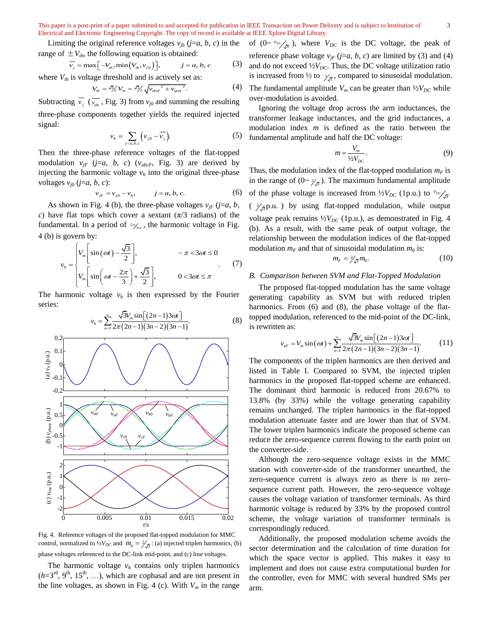(4)

range of 
$$
\pm V_{th}
$$
, the following equation is obtained:  
\n
$$
\overline{v_j} = \max[-V_{th}, \min(V_{th}, v_{j0})], \qquad j = a, b, c
$$
\n(3)

where  $V_{th}$  is voltage threshold and is actively set as:  $V_{th} = \sqrt{3} \sqrt{V_{m} = \sqrt{3} \sqrt{V_{dref}^2 + V_{qref}^2}}.$ 

Subtracting  $\overline{v_j}$  ( $\overline{v_{abc}}$ , Fig. 3) from  $v_{j0}$  and summing the resulting three-phase components together yields the required injected signal:

$$
v_h = \sum_{j=a,b,c} \left( v_{j0} - \overline{v_j} \right).
$$
 (5)

Then the three-phase reference voltages of the flat-topped modulation  $v_{jF}$  (*j*=*a*, *b*, *c*) ( $v_{abcF}$ , Fig. 3) are derived by injecting the harmonic voltage  $v_h$  into the original three-phase voltages  $v_{j0}$  (*j*=*a*, *b*, *c*):

$$
v_{jF} = v_{j0} - v_h, \t j = a, b, c.
$$
 (6)

As shown in Fig. 4 (b), the three-phase voltages  $v_{if}$  (*j*=*a*, *b*, *c*) have flat tops which cover a sextant ( $\pi/3$  radians) of the fundamental. In a period of  $2\pi/2$ , the harmonic voltage in Fig. 4 (b) is govern by:

$$
v_{h} = \begin{cases} V_{m} \left[ \sin(\omega t) - \frac{\sqrt{3}}{2} \right], & -\pi < 3\omega t \le 0 \\ V_{m} \left[ \sin\left(\omega t - \frac{2\pi}{3}\right) + \frac{\sqrt{3}}{2} \right], & 0 < 3\omega t \le \pi \end{cases}
$$
(7)

The harmonic voltage  $v_h$  is then expressed by the Fourier series:



Fig. 4. Reference voltages of the proposed flat-topped modulation for MMC control, normalized to  $\frac{1}{2}V_{DC}$  and  $m_h = \frac{2}{\sqrt{3}}$ : (a) injected triplen harmonics, (b) phase voltages referenced to the DC-link mid-point, and (c) line voltages.

The harmonic voltage  $v_h$  contains only triplen harmonics  $(h=3<sup>rd</sup>, 9<sup>th</sup>, 15<sup>th</sup>, ...)$ , which are cophasal and are not present in the line voltages, as shown in Fig. 4 (c). With  $V_m$  in the range

Limiting the original reference voltages  $v_{j0}$  (*j*=*a*, *b*, *c*) in the of  $(0 \sim v_{\text{DC}}/5)$ , where  $V_{DC}$  is the DC voltage, the peak of reference phase voltage  $v_{\text{IF}}$  ( $j=a, b, c$ ) are limited by (3) and (4) and do not exceed  $\frac{1}{2}V_{DC}$ . Thus, the DC voltage utilization ratio is increased from  $\frac{1}{2}$  to  $\frac{1}{\sqrt{5}}$ , compared to sinusoidal modulation. The fundamental amplitude  $V_m$  can be greater than  $\frac{1}{2}V_{DC}$  while over-modulation is avoided.

> Ignoring the voltage drop across the arm inductances, the transformer leakage inductances, and the grid inductances, a modulation index *m* is defined as the ratio between the fundamental amplitude and half the DC voltage:

$$
m = \frac{V_m}{V_2 V_{DC}}.\tag{9}
$$

Thus, the modulation index of the flat-topped modulation  $m_F$  is in the range of  $(0 \sim \gamma_{\sqrt{s}})$ . The maximum fundamental amplitude of the phase voltage is increased from  $\frac{1}{2}V_{DC}$  (1p.u.) to  $\frac{V_{DC}}{\sqrt{3}}$  $( \frac{2}{\sqrt{5}}$ p.u.) by using flat-topped modulation, while output voltage peak remains  $\frac{1}{2}V_{DC}$  (1p.u.), as demonstrated in Fig. 4 (b). As a result, with the same peak of output voltage, the relationship between the modulation indices of the flat-topped modulation  $m_F$  and that of sinusoidal modulation  $m_0$  is:

$$
m_F = \frac{2}{5} m_0. \tag{10}
$$

## *B. Comparison between SVM and Flat-Topped Modulation*

The proposed flat-topped modulation has the same voltage generating capability as SVM but with reduced triplen harmonics. From (6) and (8), the phase voltage of the flattopped modulation, referenced to the mid-point of the DC-link, is rewritten as:

en as:  
\n
$$
v_{aF} = V_m \sin(\omega t) + \sum_{n=1}^{\infty} \frac{\sqrt{3}V_m \sin[(2n-1)3\omega t]}{2\pi (2n-1)(3n-2)(3n-1)}.
$$
\n(11)

The components of the triplen harmonics are then derived and listed in Table I. Compared to SVM, the injected triplen harmonics in the proposed flat-topped scheme are enhanced. The dominant third harmonic is reduced from 20.67% to 13.8% (by 33%) while the voltage generating capability remains unchanged. The triplen harmonics in the flat-topped modulation attenuate faster and are lower than that of SVM. The lower triplen harmonics indicate the proposed scheme can reduce the zero-sequence current flowing to the earth point on the converter-side.

Although the zero-sequence voltage exists in the MMC station with converter-side of the transformer unearthed, the zero-sequence current is always zero as there is no zerosequence current path. However, the zero-sequence voltage causes the voltage variation of transformer terminals. As third harmonic voltage is reduced by 33% by the proposed control scheme, the voltage variation of transformer terminals is correspondingly reduced.

Additionally, the proposed modulation scheme avoids the sector determination and the calculation of time duration for which the space vector is applied. This makes it easy to implement and does not cause extra computational burden for the controller, even for MMC with several hundred SMs per arm.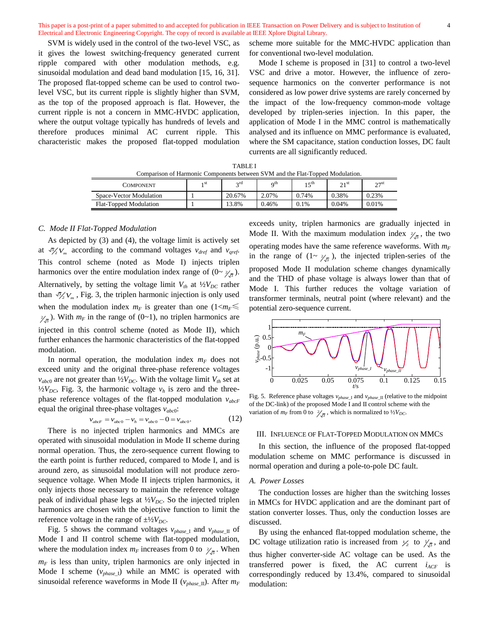SVM is widely used in the control of the two-level VSC, as it gives the lowest switching-frequency generated current ripple compared with other modulation methods, e.g. sinusoidal modulation and dead band modulation [\[15,](#page-8-8) [16,](#page-8-19) [31\]](#page-9-0). The proposed flat-topped scheme can be used to control twolevel VSC, but its current ripple is slightly higher than SVM, as the top of the proposed approach is flat. However, the current ripple is not a concern in MMC-HVDC application, where the output voltage typically has hundreds of levels and therefore produces minimal AC current ripple. This characteristic makes the proposed flat-topped modulation scheme more suitable for the MMC-HVDC application than for conventional two-level modulation.

Mode I scheme is proposed in [\[31\]](#page-9-0) to control a two-level VSC and drive a motor. However, the influence of zerosequence harmonics on the converter performance is not considered as low power drive systems are rarely concerned by the impact of the low-frequency common-mode voltage developed by triplen-series injection. In this paper, the application of Mode I in the MMC control is mathematically analysed and its influence on MMC performance is evaluated, where the SM capacitance, station conduction losses, DC fault currents are all significantly reduced.

| Comparison of Harmonic Components between SVM and the Flat-Topped Modulation. |      |        |                        |                   |         |                  |  |  |
|-------------------------------------------------------------------------------|------|--------|------------------------|-------------------|---------|------------------|--|--|
| <b>COMPONENT</b>                                                              | 1 St | 2rd    | $\alpha$ <sup>th</sup> | $1.5^{\text{th}}$ | $21$ st | 27 <sup>st</sup> |  |  |
| Space-Vector Modulation                                                       |      | 20.67% | 2.07%                  | 0.74%             | 0.38%   | 0.23%            |  |  |
| Flat-Topped Modulation                                                        |      | 13.8%  | 0.46%                  | $0.1\%$           | 0.04%   | 0.01%            |  |  |

TABLE I

## *C. Mode II Flat-Topped Modulation*

As depicted by (3) and (4), the voltage limit is actively set at  $\sqrt{3}/V_m$  according to the command voltages  $v_{\text{dref}}$  and  $v_{\text{qref}}$ . This control scheme (noted as Mode I) injects triplen harmonics over the entire modulation index range of  $(0 \sim \frac{1}{\sqrt{3}})$ . Alternatively, by setting the voltage limit  $V_{th}$  at  $\frac{1}{2}V_{DC}$  rather than  $\sqrt{3}/V_m$ , Fig. 3, the triplen harmonic injection is only used when the modulation index  $m_F$  is greater than one (1< $m_F \le$  $\mathcal{H}_{\mathcal{J}_{\bar{B}}}$ ). With  $m_F$  in the range of (0~1), no triplen harmonics are injected in this control scheme (noted as Mode II), which further enhances the harmonic characteristics of the flat-topped modulation.

In normal operation, the modulation index  $m_F$  does not exceed unity and the original three-phase reference voltages  $v_{abc0}$  are not greater than  $\frac{1}{2}V_{DC}$ . With the voltage limit  $V_{th}$  set at  $\frac{1}{2}V_{DC}$ , Fig. 3, the harmonic voltage  $v_h$  is zero and the threephase reference voltages of the flat-topped modulation *vabcF* equal the original three-phase voltages  $v_{abc}$ :<br>  $v_{abc} = v_{abc0} - v_h = v_{abc0} - 0 = v_{abc0}$ .

$$
v_{abcF} = v_{abc0} - v_h = v_{abc0} - 0 = v_{abc0}.\tag{12}
$$

There is no injected triplen harmonics and MMCs are operated with sinusoidal modulation in Mode II scheme during normal operation. Thus, the zero-sequence current flowing to the earth point is further reduced, compared to Mode I, and is around zero, as sinusoidal modulation will not produce zerosequence voltage. When Mode II injects triplen harmonics, it only injects those necessary to maintain the reference voltage peak of individual phase legs at ½*VDC*. So the injected triplen harmonics are chosen with the objective function to limit the reference voltage in the range of  $\pm\frac{\lambda}{2}V_{DC}$ .

Fig. 5 shows the command voltages *vphase\_*<sup>I</sup> and *vphase\_*II of Mode I and II control scheme with flat-topped modulation, where the modulation index  $m_F$  increases from 0 to  $\frac{1}{\sqrt{5}}$ . When  $m_F$  is less than unity, triplen harmonics are only injected in Mode I scheme (*vphase\_*I) while an MMC is operated with sinusoidal reference waveforms in Mode II ( $v_{phase\_II}$ ). After  $m_F$ 

exceeds unity, triplen harmonics are gradually injected in Mode II. With the maximum modulation index  $\frac{1}{\sqrt{5}}$ , the two operating modes have the same reference waveforms. With *m<sup>F</sup>* in the range of  $(1 - \frac{1}{\sqrt{s}})$ , the injected triplen-series of the proposed Mode II modulation scheme changes dynamically and the THD of phase voltage is always lower than that of Mode I. This further reduces the voltage variation of transformer terminals, neutral point (where relevant) and the potential zero-sequence current.



Fig. 5. Reference phase voltages *vphase\_*<sup>I</sup> and *vphase\_*II (relative to the midpoint of the DC-link) of the proposed Mode I and II control scheme with the variation of  $m_F$  from 0 to  $\frac{2}{\sqrt{3}}$ , which is normalized to  $\frac{1}{2}V_{DC}$ .

#### III. INFLUENCE OF FLAT-TOPPED MODULATION ON MMCS

In this section, the influence of the proposed flat-topped modulation scheme on MMC performance is discussed in normal operation and during a pole-to-pole DC fault.

#### *A. Power Losses*

The conduction losses are higher than the switching losses in MMCs for HVDC application and are the dominant part of station converter losses. Thus, only the conduction losses are discussed.

By using the enhanced flat-topped modulation scheme, the DC voltage utilization ratio is increased from  $\frac{1}{2}$  to  $\frac{1}{\sqrt{5}}$ , and thus higher converter-side AC voltage can be used. As the transferred power is fixed, the AC current *iACF* is correspondingly reduced by 13.4%, compared to sinusoidal modulation: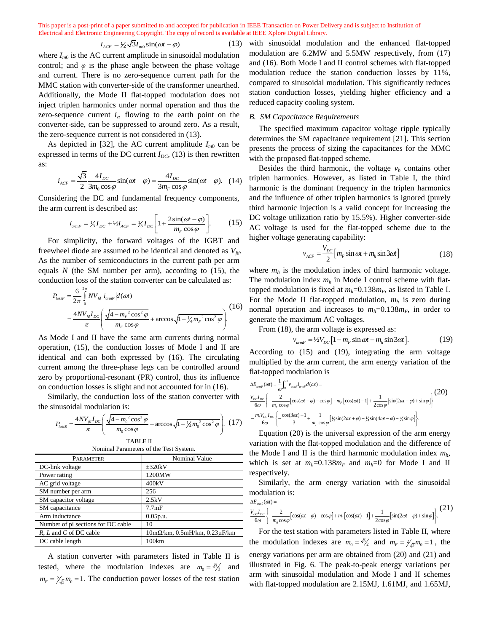$$
i_{ACF} = \frac{1}{2}\sqrt{3}I_{m0}\sin(\omega t - \varphi) \tag{13}
$$

where  $I_{m0}$  is the AC current amplitude in sinusoidal modulation control; and  $\varphi$  is the phase angle between the phase voltage and current. There is no zero-sequence current path for the MMC station with converter-side of the transformer unearthed. Additionally, the Mode II flat-topped modulation does not inject triplen harmonics under normal operation and thus the zero-sequence current  $i_z$ , flowing to the earth point on the converter-side, can be suppressed to around zero. As a result, the zero-sequence current is not considered in (13).

As depicted in [\[32\]](#page-9-1), the AC current amplitude  $I_{m0}$  can be expressed in terms of the DC current  $I_{DC}$ , (13) is then rewritten as:

$$
i_{ACF} = \frac{\sqrt{3}}{2} \frac{4I_{DC}}{3m_0 \cos \varphi} \sin(\omega t - \varphi) = \frac{4I_{DC}}{3m_F \cos \varphi} \sin(\omega t - \varphi). \quad (14)
$$

Considering the DC and fundamental frequency components, the arm current is described as:

current is described as:  
\n
$$
i_{armF} = \frac{1}{3} I_{DC} + \frac{1}{2} i_{ACF} = \frac{1}{3} I_{DC} \left[ 1 + \frac{2 \sin(\omega t - \varphi)}{m_F \cos \varphi} \right].
$$
\n(15)

For simplicity, the forward voltages of the IGBT and freewheel diode are assumed to be identical and denoted as *Vfd*. As the number of semiconductors in the current path per arm equals  $N$  (the SM number per arm), according to  $(15)$ , the

conduction loss of the station converter can be calculated as:  
\n
$$
P_{lossF} = \frac{6}{2\pi} \int_{0}^{2\pi} N V_{fd} |i_{amf}| d(\omega t)
$$
\n
$$
= \frac{4N V_{fd} I_{DC}}{\pi} \left( \frac{\sqrt{4 - m_F^2 \cos^2 \varphi}}{m_F \cos \varphi} + \arccos \sqrt{1 - \frac{1}{4} m_F^2 \cos^2 \varphi}} \right). \tag{16}
$$

As Mode I and II have the same arm currents during normal operation, (15), the conduction losses of Mode I and II are identical and can both expressed by (16). The circulating current among the three-phase legs can be controlled around zero by proportional-resonant (PR) control, thus its influence on conduction losses is slight and not accounted for in (16).

Similarly, the conduction loss of the station converter with

the sinusoidal modulation is:  
\n
$$
P_{loss0} = \frac{4NV_{\beta l}I_{DC}}{\pi} \left( \frac{\sqrt{4 - m_0^2 \cos^2 \varphi}}{m_0 \cos \varphi} + \arccos \sqrt{1 - \frac{1}{4}m_0^2 \cos^2 \varphi}} \right). (17)
$$

| r whilling I arameters of the rest B follows. |                                               |  |  |  |  |  |
|-----------------------------------------------|-----------------------------------------------|--|--|--|--|--|
| <b>PARAMETER</b>                              | Nominal Value                                 |  |  |  |  |  |
| DC-link voltage                               | $\pm 320kV$                                   |  |  |  |  |  |
| Power rating                                  | 1200MW                                        |  |  |  |  |  |
| AC grid voltage                               | 400kV                                         |  |  |  |  |  |
| SM number per arm                             | 256                                           |  |  |  |  |  |
| SM capacitor voltage                          | 2.5kV                                         |  |  |  |  |  |
| SM capacitance                                | 7.7mF                                         |  |  |  |  |  |
| Arm inductance                                | 0.05p.u.                                      |  |  |  |  |  |
| Number of pi sections for DC cable            | 10                                            |  |  |  |  |  |
| R, L and C of DC cable                        | $10m\Omega/km$ , $0.5mH/km$ , $0.23 \mu$ F/km |  |  |  |  |  |
| DC cable length                               | 100km                                         |  |  |  |  |  |

Nominal Parameters of the Test System.

TABLE II

A station converter with parameters listed in Table II is tested, where the modulation indexes are  $m_0 = \sqrt[3]{2}$  and  $m_F = \frac{2}{\sqrt{3}} m_0 = 1$ . The conduction power losses of the test station with sinusoidal modulation and the enhanced flat-topped modulation are 6.2MW and 5.5MW respectively, from (17) and (16). Both Mode I and II control schemes with flat-topped modulation reduce the station conduction losses by 11%, compared to sinusoidal modulation. This significantly reduces station conduction losses, yielding higher efficiency and a reduced capacity cooling system.

## *B. SM Capacitance Requirements*

The specified maximum capacitor voltage ripple typically determines the SM capacitance requirement [\[21\]](#page-8-13). This section presents the process of sizing the capacitances for the MMC with the proposed flat-topped scheme.

Besides the third harmonic, the voltage  $v_h$  contains other triplen harmonics. However, as listed in Table I, the third harmonic is the dominant frequency in the triplen harmonics and the influence of other triplen harmonics is ignored (purely third harmonic injection is a valid concept for increasing the DC voltage utilization ratio by 15.5%). Higher converter-side AC voltage is used for the flat-topped scheme due to the higher voltage generating capability:

$$
v_{ACF} = \frac{V_{DC}}{2} \left[ m_F \sin \omega t + m_h \sin 3\omega t \right]
$$
 (18)

where  $m_h$  is the modulation index of third harmonic voltage. The modulation index  $m_h$  in Mode I control scheme with flattopped modulation is fixed at  $m_h=0.138m_F$ , as listed in Table I. For the Mode II flat-topped modulation, *m<sup>h</sup>* is zero during normal operation and increases to  $m_h=0.138m_F$ , in order to generate the maximum AC voltages.

From (18), the arm voltage is expressed as:  
\n
$$
v_{armF} = \frac{1}{2} V_{DC} \left[ 1 - m_F \sin \omega t - m_h \sin 3 \omega t \right].
$$
\n(19)

According to (15) and (19), integrating the arm voltage multiplied by the arm current, the arm energy variation of the

flat-topped modulation is  
\n
$$
\Delta E_{amf}(\omega t) = \frac{1}{\omega} \int_0^{\omega t} v_{amf} i_{amf} d(\omega t) =
$$
\n
$$
\frac{V_{DC}L_{DC}}{6\omega} \left\{ -\frac{2}{m_F \cos \varphi} \left[ \cos(\omega t - \varphi) - \cos \varphi \right] + m_F \left[ \cos(\omega t) - 1 \right] + \frac{1}{2 \cos \varphi} \left[ \sin(2\omega t - \varphi) + \sin \varphi \right] \right\}
$$
\n
$$
-\frac{m_b V_{DC}L_{DC}}{6\omega} \left\{ -\frac{\cos(3\omega t) - 1}{3} + \frac{1}{m_F \cos \varphi} \left[ \frac{1}{2} \sin(2\omega t + \varphi) - \frac{1}{2} \sin(4\omega t - \varphi) - \frac{3}{4} \sin \varphi \right] \right\}.
$$
\n(20)

Equation (20) is the universal expression of the arm energy variation with the flat-topped modulation and the difference of the Mode I and II is the third harmonic modulation index *mh*, which is set at  $m_h=0.138m_F$  and  $m_h=0$  for Mode I and II respectively.

Similarly, the arm energy variation with the sinusoidal **modulation is:**<br> $\Delta E_{arm0}(\omega t) =$ 

 $\Delta E = (cot)$ 

$$
\Delta E_{\text{arm0}}(\omega t) =
$$
\n
$$
\Delta E_{\text{arm0}}(\omega t) =
$$
\n
$$
\frac{V_{DC}I_{DC}}{6\omega} \left\{ -\frac{2}{m_0 \cos \varphi} \left[ \cos(\omega t - \varphi) - \cos \varphi \right] + m_0 \left[ \cos(\omega t) - 1 \right] + \frac{1}{2 \cos \varphi} \left[ \sin(2\omega t - \varphi) + \sin \varphi \right] \right\}.
$$
\n(21)

For the test station with parameters listed in Table II, where the modulation indexes are  $m_0 = \sqrt{3}/2$  and  $m_F = \sqrt{3}/2$  *m*<sub>0</sub> = 1, the energy variations per arm are obtained from (20) and (21) and illustrated in Fig. 6. The peak-to-peak energy variations per arm with sinusoidal modulation and Mode I and II schemes with flat-topped modulation are 2.15MJ, 1.61MJ, and 1.65MJ,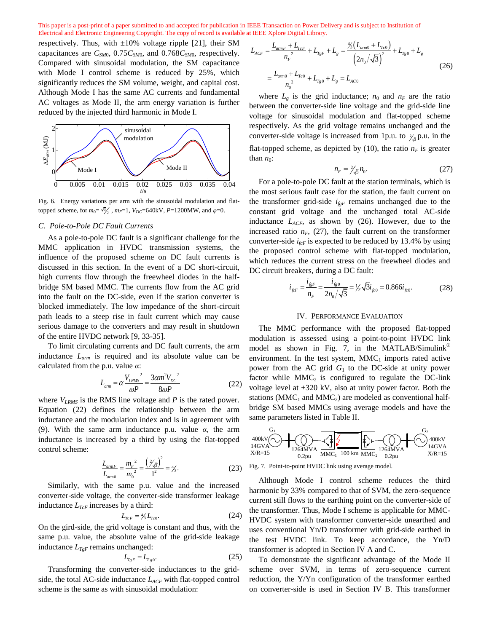This paper is a post-print of a paper submitted to and accepted for publication in IEEE Transaction on Power Delivery and is subject to Institution of

Electrical and Electronic Engineering Copyright. The copy of record is available at IEEE Xplore Digital Library.<br> *L*  $L_{\text{R}} = L_{\text{arm}} + L_{\text{TC}} + L_{\text{C}} + L = \frac{4}{3}(L_{\text{arm0}} + L_{\text{C}} + L_{\text{cm}})$ <br>  $L_{\text{C}} = \frac{L_{\text{arm}}F + L_{\text{TC}} + L_{\text$ respectively. Thus, with  $\pm 10\%$  voltage ripple [\[21\]](#page-8-13), their SM capacitances are *CSM*0, 0.75*CSM*0, and 0.768*CSM*0, respectively. Compared with sinusoidal modulation, the SM capacitance with Mode I control scheme is reduced by 25%, which significantly reduces the SM volume, weight, and capital cost. Although Mode I has the same AC currents and fundamental AC voltages as Mode II, the arm energy variation is further reduced by the injected third harmonic in Mode I.



Fig. 6. Energy variations per arm with the sinusoidal modulation and flattopped scheme, for  $m_0 = \sqrt{3/2}$ ,  $m_F = 1$ ,  $V_{DC} = 640$ kV,  $P = 1200$ MW, and  $\varphi = 0$ .

### *C. Pole-to-Pole DC Fault Currents*

As a pole-to-pole DC fault is a significant challenge for the MMC application in HVDC transmission systems, the influence of the proposed scheme on DC fault currents is discussed in this section. In the event of a DC short-circuit, high currents flow through the freewheel diodes in the halfbridge SM based MMC. The currents flow from the AC grid into the fault on the DC-side, even if the station converter is blocked immediately. The low impedance of the short-circuit path leads to a steep rise in fault current which may cause serious damage to the converters and may result in shutdown of the entire HVDC network [\[9,](#page-8-2) [33-35\]](#page-9-2).

To limit circulating currents and DC fault currents, the arm inductance *Larm* is required and its absolute value can be calculated from the p.u. value *α*:

$$
L_{arm} = \alpha \frac{V_{I RMS}^2}{\omega P} = \frac{3\alpha m^2 V_{DC}^2}{8\omega P}
$$
 (22)

where  $V_{LRMS}$  is the RMS line voltage and  $P$  is the rated power. Equation (22) defines the relationship between the arm inductance and the modulation index and is in agreement with (9). With the same arm inductance p.u. value *α*, the arm inductance is increased by a third by using the flat-topped control scheme:

$$
\frac{L_{amnF}}{L_{arm0}} = \frac{m_r^2}{m_0^2} = \frac{\left(\frac{2}{\sqrt{5}}\right)^2}{1^2} = \frac{4}{5}.
$$
 (23)

Similarly, with the same p.u. value and the increased converter-side voltage, the converter-side transformer leakage inductance *LTcF* increases by a third:

$$
L_{T c F} = \frac{4}{3} L_{T c 0}.
$$
 (24)

On the gird-side, the grid voltage is constant and thus, with the same p.u. value, the absolute value of the grid-side leakage inductance  $L_{TgF}$  remains unchanged:

$$
L_{TgF} = L_{Tg0}.\tag{25}
$$

Transforming the converter-side inductances to the gridside, the total AC-side inductance *LACF* with flat-topped control scheme is the same as with sinusoidal modulation:

$$
L_{ACF} = \frac{L_{amr} + L_{TcF}}{n_F^2} + L_{TgF} + L_g = \frac{\frac{4}{3}(L_{amr0} + L_{Tc0})}{(2n_0/\sqrt{3})^2} + L_{Tg0} + L_g
$$
  
= 
$$
\frac{L_{amr0} + L_{Tc0}}{n_0^2} + L_{Tg0} + L_g = L_{AC0}
$$
 (26)

where  $L_g$  is the grid inductance;  $n_0$  and  $n_F$  are the ratio between the converter-side line voltage and the grid-side line voltage for sinusoidal modulation and flat-topped scheme respectively. As the grid voltage remains unchanged and the converter-side voltage is increased from 1p.u. to  $\chi_{\rm g}$  p.u. in the flat-topped scheme, as depicted by (10), the ratio  $n_F$  is greater than  $n_0$ :

$$
n_F = \frac{2}{\sqrt{3}} n_0. \tag{27}
$$

For a pole-to-pole DC fault at the station terminals, which is the most serious fault case for the station, the fault current on the transformer grid-side  $i_{fgF}$  remains unchanged due to the constant grid voltage and the unchanged total AC-side inductance *LACF*, as shown by (26). However, due to the increased ratio  $n_F$ , (27), the fault current on the transformer converter-side  $i_{f c F}$  is expected to be reduced by 13.4% by using the proposed control scheme with flat-topped modulation, which reduces the current stress on the freewheel diodes and DC circuit breakers, during a DC fault:<br> $i_{fg}$   $i_{fg}$   $i_{fg}$   $i_{fg}$   $i_{fg}$ 

$$
i_{f \in F} = \frac{i_{f g F}}{n_F} = \frac{i_{f g 0}}{2n_0/\sqrt{3}} = \frac{1}{2} \sqrt{3} i_{f \in 0} = 0.866 i_{f \in 0}.
$$
 (28)

#### IV. PERFORMANCE EVALUATION

The MMC performance with the proposed flat-topped modulation is assessed using a point-to-point HVDC link model as shown in Fig. 7, in the MATLAB/Simulink<sup>®</sup> environment. In the test system,  $MMC<sub>1</sub>$  imports rated active power from the AC grid  $G_1$  to the DC-side at unity power factor while  $MMC<sub>2</sub>$  is configured to regulate the DC-link voltage level at ±320 kV, also at unity power factor. Both the stations ( $MMC_1$  and  $MMC_2$ ) are modeled as conventional halfbridge SM based MMCs using average models and have the same parameters listed in Table II.



Fig. 7. Point-to-point HVDC link using average model.

Although Mode I control scheme reduces the third harmonic by 33% compared to that of SVM, the zero-sequence current still flows to the earthing point on the converter-side of the transformer. Thus, Mode I scheme is applicable for MMC-HVDC system with transformer converter-side unearthed and uses conventional Yn/D transformer with grid-side earthed in the test HVDC link. To keep accordance, the Yn/D transformer is adopted in Section IV A and C.

To demonstrate the significant advantage of the Mode II scheme over SVM, in terms of zero-sequence current reduction, the Y/Yn configuration of the transformer earthed on converter-side is used in Section IV B. This transformer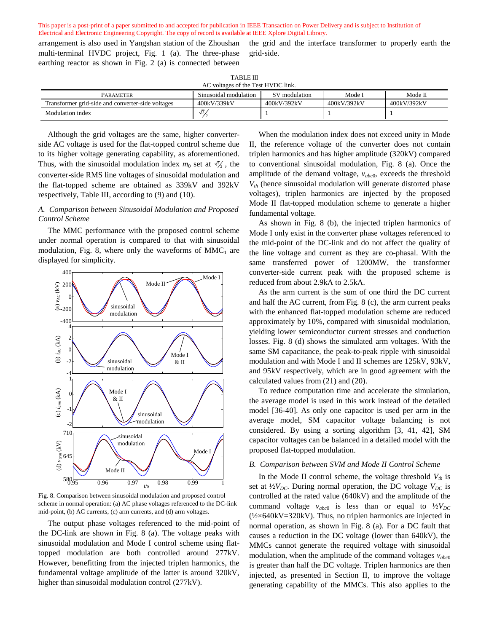arrangement is also used in Yangshan station of the Zhoushan multi-terminal HVDC project, Fig. 1 (a). The three-phase earthing reactor as shown in Fig. 2 (a) is connected between

the grid and the interface transformer to properly earth the grid-side.

| TABLE III                                         |                       |               |             |             |  |  |  |  |  |
|---------------------------------------------------|-----------------------|---------------|-------------|-------------|--|--|--|--|--|
| AC voltages of the Test HVDC link.                |                       |               |             |             |  |  |  |  |  |
| PARAMETER                                         | Sinusoidal modulation | SV modulation | Mode I      | Mode II     |  |  |  |  |  |
| Transformer grid-side and converter-side voltages | 400kV/339kV           | 400kV/392kV   | 400kV/392kV | 400kV/392kV |  |  |  |  |  |
| Modulation index                                  | $\sqrt{3}$            |               |             |             |  |  |  |  |  |

Although the grid voltages are the same, higher converterside AC voltage is used for the flat-topped control scheme due to its higher voltage generating capability, as aforementioned. Thus, with the sinusoidal modulation index  $m_0$  set at  $\sqrt{3}/2$ , the converter-side RMS line voltages of sinusoidal modulation and the flat-topped scheme are obtained as 339kV and 392kV respectively, Table III, according to (9) and (10).

# *A. Comparison between Sinusoidal Modulation and Proposed Control Scheme*

The MMC performance with the proposed control scheme under normal operation is compared to that with sinusoidal modulation, Fig. 8, where only the waveforms of  $MMC<sub>1</sub>$  are displayed for simplicity.



Fig. 8. Comparison between sinusoidal modulation and proposed control scheme in normal operation: (a) AC phase voltages referenced to the DC-link mid-point, (b) AC currents, (c) arm currents, and (d) arm voltages.

The output phase voltages referenced to the mid-point of the DC-link are shown in Fig. 8 (a). The voltage peaks with sinusoidal modulation and Mode I control scheme using flattopped modulation are both controlled around 277kV. However, benefitting from the injected triplen harmonics, the fundamental voltage amplitude of the latter is around 320kV, higher than sinusoidal modulation control (277kV).

When the modulation index does not exceed unity in Mode II, the reference voltage of the converter does not contain triplen harmonics and has higher amplitude (320kV) compared to conventional sinusoidal modulation, Fig. 8 (a). Once the amplitude of the demand voltage, *vabc*0, exceeds the threshold *Vth* (hence sinusoidal modulation will generate distorted phase voltages), triplen harmonics are injected by the proposed Mode II flat-topped modulation scheme to generate a higher fundamental voltage.

As shown in Fig. 8 (b), the injected triplen harmonics of Mode I only exist in the converter phase voltages referenced to the mid-point of the DC-link and do not affect the quality of the line voltage and current as they are co-phasal. With the same transferred power of 1200MW, the transformer converter-side current peak with the proposed scheme is reduced from about 2.9kA to 2.5kA.

As the arm current is the sum of one third the DC current and half the AC current, from Fig. 8 (c), the arm current peaks with the enhanced flat-topped modulation scheme are reduced approximately by 10%, compared with sinusoidal modulation, yielding lower semiconductor current stresses and conduction losses. Fig. 8 (d) shows the simulated arm voltages. With the same SM capacitance, the peak-to-peak ripple with sinusoidal modulation and with Mode I and II schemes are 125kV, 93kV, and 95kV respectively, which are in good agreement with the calculated values from (21) and (20).

To reduce computation time and accelerate the simulation, the average model is used in this work instead of the detailed model [\[36-40\]](#page-9-3). As only one capacitor is used per arm in the average model, SM capacitor voltage balancing is not considered. By using a sorting algorithm [\[3,](#page-8-20) [41,](#page-9-4) [42\]](#page-9-5), SM capacitor voltages can be balanced in a detailed model with the proposed flat-topped modulation.

#### *B. Comparison between SVM and Mode II Control Scheme*

In the Mode II control scheme, the voltage threshold  $V_{th}$  is set at  $\frac{1}{2}V_{DC}$ . During normal operation, the DC voltage  $V_{DC}$  is controlled at the rated value (640kV) and the amplitude of the command voltage  $v_{abc0}$  is less than or equal to  $\frac{1}{2}V_{DC}$  $(\frac{1}{2} \times 640kV = 320kV)$ . Thus, no triplen harmonics are injected in normal operation, as shown in Fig. 8 (a). For a DC fault that causes a reduction in the DC voltage (lower than 640kV), the MMCs cannot generate the required voltage with sinusoidal modulation, when the amplitude of the command voltages  $v_{abc0}$ is greater than half the DC voltage. Triplen harmonics are then injected, as presented in Section II, to improve the voltage generating capability of the MMCs. This also applies to the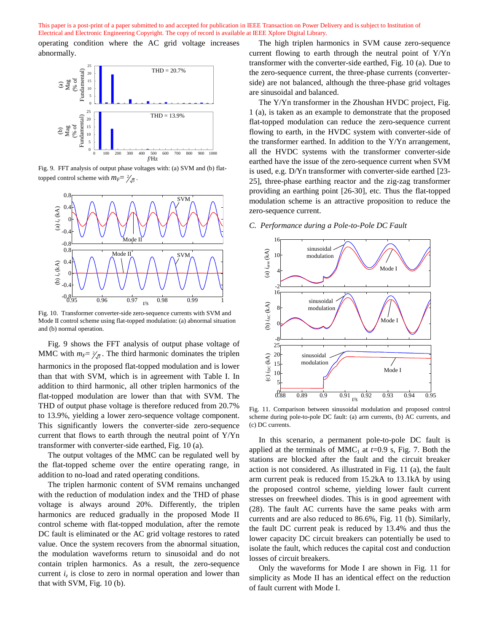operating condition where the AC grid voltage increases abnormally.



Fig. 9. FFT analysis of output phase voltages with: (a) SVM and (b) flattopped control scheme with  $m_F = \frac{2}{\sqrt{3}}$ .



Fig. 10. Transformer converter-side zero-sequence currents with SVM and Mode II control scheme using flat-topped modulation: (a) abnormal situation and (b) normal operation.

Fig. 9 shows the FFT analysis of output phase voltage of MMC with  $m_F = \frac{1}{\sqrt{3}}$ . The third harmonic dominates the triplen harmonics in the proposed flat-topped modulation and is lower than that with SVM, which is in agreement with Table I. In addition to third harmonic, all other triplen harmonics of the flat-topped modulation are lower than that with SVM. The THD of output phase voltage is therefore reduced from 20.7% to 13.9%, yielding a lower zero-sequence voltage component. This significantly lowers the converter-side zero-sequence current that flows to earth through the neutral point of Y/Yn transformer with converter-side earthed, Fig. 10 (a).

The output voltages of the MMC can be regulated well by the flat-topped scheme over the entire operating range, in addition to no-load and rated operating conditions.

The triplen harmonic content of SVM remains unchanged with the reduction of modulation index and the THD of phase voltage is always around 20%. Differently, the triplen harmonics are reduced gradually in the proposed Mode II control scheme with flat-topped modulation, after the remote DC fault is eliminated or the AC grid voltage restores to rated value. Once the system recovers from the abnormal situation, the modulation waveforms return to sinusoidal and do not contain triplen harmonics. As a result, the zero-sequence current  $i_z$  is close to zero in normal operation and lower than that with SVM, Fig. 10 (b).

The high triplen harmonics in SVM cause zero-sequence current flowing to earth through the neutral point of Y/Yn transformer with the converter-side earthed, Fig. 10 (a). Due to the zero-sequence current, the three-phase currents (converterside) are not balanced, although the three-phase grid voltages are sinusoidal and balanced.

The Y/Yn transformer in the Zhoushan HVDC project, Fig. 1 (a), is taken as an example to demonstrate that the proposed flat-topped modulation can reduce the zero-sequence current flowing to earth, in the HVDC system with converter-side of the transformer earthed. In addition to the Y/Yn arrangement, all the HVDC systems with the transformer converter-side earthed have the issue of the zero-sequence current when SVM is used, e.g. D/Yn transformer with converter-side earthed [\[23-](#page-8-15) [25\]](#page-8-15), three-phase earthing reactor and the zig-zag transformer providing an earthing point [\[26-30\]](#page-8-16), etc. Thus the flat-topped modulation scheme is an attractive proposition to reduce the zero-sequence current.

## *C. Performance during a Pole-to-Pole DC Fault*



Fig. 11. Comparison between sinusoidal modulation and proposed control scheme during pole-to-pole DC fault: (a) arm currents, (b) AC currents, and (c) DC currents.

In this scenario, a permanent pole-to-pole DC fault is applied at the terminals of  $MMC_1$  at  $t=0.9$  s, Fig. 7. Both the stations are blocked after the fault and the circuit breaker action is not considered. As illustrated in Fig. 11 (a), the fault arm current peak is reduced from 15.2kA to 13.1kA by using the proposed control scheme, yielding lower fault current stresses on freewheel diodes. This is in good agreement with (28). The fault AC currents have the same peaks with arm currents and are also reduced to 86.6%, Fig. 11 (b). Similarly, the fault DC current peak is reduced by 13.4% and thus the lower capacity DC circuit breakers can potentially be used to isolate the fault, which reduces the capital cost and conduction losses of circuit breakers.

Only the waveforms for Mode I are shown in Fig. 11 for simplicity as Mode II has an identical effect on the reduction of fault current with Mode I.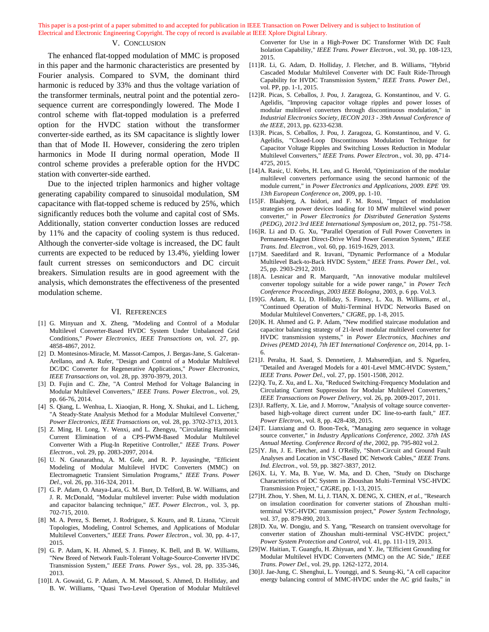# V. CONCLUSION

The enhanced flat-topped modulation of MMC is proposed in this paper and the harmonic characteristics are presented by Fourier analysis. Compared to SVM, the dominant third harmonic is reduced by 33% and thus the voltage variation of the transformer terminals, neutral point and the potential zerosequence current are correspondingly lowered. The Mode I control scheme with flat-topped modulation is a preferred option for the HVDC station without the transformer converter-side earthed, as its SM capacitance is slightly lower than that of Mode II. However, considering the zero triplen harmonics in Mode II during normal operation, Mode II control scheme provides a preferable option for the HVDC station with converter-side earthed.

Due to the injected triplen harmonics and higher voltage generating capability compared to sinusoidal modulation, SM capacitance with flat-topped scheme is reduced by 25%, which significantly reduces both the volume and capital cost of SMs. Additionally, station converter conduction losses are reduced by 11% and the capacity of cooling system is thus reduced. Although the converter-side voltage is increased, the DC fault currents are expected to be reduced by 13.4%, yielding lower fault current stresses on semiconductors and DC circuit breakers. Simulation results are in good agreement with the analysis, which demonstrates the effectiveness of the presented modulation scheme.

## VI. REFERENCES

- <span id="page-8-0"></span>[1] G. Minyuan and X. Zheng, "Modeling and Control of a Modular Multilevel Converter-Based HVDC System Under Unbalanced Grid Conditions," *Power Electronics, IEEE Transactions on,* vol. 27, pp. 4858-4867, 2012.
- [2] D. Montesinos-Miracle, M. Massot-Campos, J. Bergas-Jane, S. Galceran-Arellano, and A. Rufer, "Design and Control of a Modular Multilevel DC/DC Converter for Regenerative Applications," *Power Electronics, IEEE Transactions on,* vol. 28, pp. 3970-3979, 2013.
- <span id="page-8-20"></span>[3] D. Fujin and C. Zhe, "A Control Method for Voltage Balancing in Modular Multilevel Converters," *IEEE Trans. Power Electron.,* vol. 29, pp. 66-76, 2014.
- [4] S. Qiang, L. Wenhua, L. Xiaoqian, R. Hong, X. Shukai, and L. Licheng, "A Steady-State Analysis Method for a Modular Multilevel Converter," *Power Electronics, IEEE Transactions on,* vol. 28, pp. 3702-3713, 2013.
- [5] Z. Ming, H. Long, Y. Wenxi, and L. Zhengyu, "Circulating Harmonic Current Elimination of a CPS-PWM-Based Modular Multilevel Converter With a Plug-In Repetitive Controller," *IEEE Trans. Power Electron.,* vol. 29, pp. 2083-2097, 2014.
- <span id="page-8-1"></span>[6] U. N. Gnanarathna, A. M. Gole, and R. P. Jayasinghe, "Efficient Modeling of Modular Multilevel HVDC Converters (MMC) on Electromagnetic Transient Simulation Programs," *IEEE Trans. Power Del.,* vol. 26, pp. 316-324, 2011.
- [7] G. P. Adam, O. Anaya-Lara, G. M. Burt, D. Telford, B. W. Williams, and J. R. McDonald, "Modular multilevel inverter: Pulse width modulation and capacitor balancing technique," *IET. Power Electron.,* vol. 3, pp. 702-715, 2010.
- [8] M. A. Perez, S. Bernet, J. Rodriguez, S. Kouro, and R. Lizana, "Circuit Topologies, Modeling, Control Schemes, and Applications of Modular Multilevel Converters," *IEEE Trans. Power Electron.,* vol. 30, pp. 4-17, 2015.
- <span id="page-8-2"></span>[9] G. P. Adam, K. H. Ahmed, S. J. Finney, K. Bell, and B. W. Williams, "New Breed of Network Fault-Tolerant Voltage-Source-Converter HVDC Transmission System," *IEEE Trans. Power Sys.,* vol. 28, pp. 335-346, 2013.
- <span id="page-8-3"></span>[10] I. A. Gowaid, G. P. Adam, A. M. Massoud, S. Ahmed, D. Holliday, and B. W. Williams, "Quasi Two-Level Operation of Modular Multilevel

Converter for Use in a High-Power DC Transformer With DC Fault Isolation Capability," *IEEE Trans. Power Electron.,* vol. 30, pp. 108-123, 2015.

- <span id="page-8-4"></span>[11]R. Li, G. Adam, D. Holliday, J. Fletcher, and B. Williams, "Hybrid Cascaded Modular Multilevel Converter with DC Fault Ride-Through Capability for HVDC Transmission System," *IEEE Trans. Power Del.,*  vol. PP, pp. 1-1, 2015.
- <span id="page-8-5"></span>[12]R. Picas, S. Ceballos, J. Pou, J. Zaragoza, G. Konstantinou, and V. G. Agelidis, "Improving capacitor voltage ripples and power losses of modular multilevel converters through discontinuous modulation," in *Industrial Electronics Society, IECON 2013 - 39th Annual Conference of the IEEE*, 2013, pp. 6233-6238.
- <span id="page-8-6"></span>[13]R. Picas, S. Ceballos, J. Pou, J. Zaragoza, G. Konstantinou, and V. G. Agelidis, "Closed-Loop Discontinuous Modulation Technique for Capacitor Voltage Ripples and Switching Losses Reduction in Modular Multilevel Converters," *IEEE Trans. Power Electron.,* vol. 30, pp. 4714- 4725, 2015.
- <span id="page-8-7"></span>[14]A. Rasic, U. Krebs, H. Leu, and G. Herold, "Optimization of the modular multilevel converters performance using the second harmonic of the module current," in *Power Electronics and Applications, 2009. EPE '09. 13th European Conference on*, 2009, pp. 1-10.
- <span id="page-8-8"></span>[15]F. Blaabjerg, A. Isidori, and F. M. Rossi, "Impact of modulation strategies on power devices loading for 10 MW multilevel wind power converter," in *Power Electronics for Distributed Generation Systems (PEDG), 2012 3rd IEEE International Symposium on*, 2012, pp. 751-758.
- <span id="page-8-19"></span>[16]R. Li and D. G. Xu, "Parallel Operation of Full Power Converters in Permanent-Magnet Direct-Drive Wind Power Generation System," *IEEE Trans. Ind. Electron.,* vol. 60, pp. 1619-1629, 2013.
- <span id="page-8-11"></span>[17]M. Saeedifard and R. Iravani, "Dynamic Performance of a Modular Multilevel Back-to-Back HVDC System," *IEEE Trans. Power Del.,* vol. 25, pp. 2903-2912, 2010.
- <span id="page-8-9"></span>[18]A. Lesnicar and R. Marquardt, "An innovative modular multilevel converter topology suitable for a wide power range," in *Power Tech Conference Proceedings, 2003 IEEE Bologna*, 2003, p. 6 pp. Vol.3.
- <span id="page-8-10"></span>[19]G. Adam, R. Li, D. Holliday, S. Finney, L. Xu, B. Williams*, et al.*, "Continued Operation of Multi-Terminal HVDC Networks Based on Modular Multilevel Converters," *CIGRE,* pp. 1-8, 2015.
- <span id="page-8-12"></span>[20]K. H. Ahmed and G. P. Adam, "New modified staircase modulation and capacitor balancing strategy of 21-level modular multilevel converter for HVDC transmission systems," in *Power Electronics, Machines and Drives (PEMD 2014), 7th IET International Conference on*, 2014, pp. 1- 6.
- <span id="page-8-13"></span>[21]J. Peralta, H. Saad, S. Dennetiere, J. Mahseredjian, and S. Nguefeu, "Detailed and Averaged Models for a 401-Level MMC-HVDC System," *IEEE Trans. Power Del.,* vol. 27, pp. 1501-1508, 2012.
- <span id="page-8-14"></span>[22]Q. Tu, Z. Xu, and L. Xu, "Reduced Switching-Frequency Modulation and Circulating Current Suppression for Modular Multilevel Converters," *IEEE Transactions on Power Delivery,* vol. 26, pp. 2009-2017, 2011.
- <span id="page-8-15"></span>[23]J. Rafferty, X. Lie, and J. Morrow, "Analysis of voltage source converterbased high-voltage direct current under DC line-to-earth fault," *IET. Power Electron.,* vol. 8, pp. 428-438, 2015.
- [24]T. Lianxiang and O. Boon-Teck, "Managing zero sequence in voltage source converter," in *Industry Applications Conference, 2002. 37th IAS Annual Meeting. Conference Record of the*, 2002, pp. 795-802 vol.2.
- [25]Y. Jin, J. E. Fletcher, and J. O'Reilly, "Short-Circuit and Ground Fault Analyses and Location in VSC-Based DC Network Cables," *IEEE Trans. Ind. Electron.,* vol. 59, pp. 3827-3837, 2012.
- <span id="page-8-16"></span>[26]X. Li, Y. Ma, B. Yue, W. Ma, and D. Chen, "Study on Discharge Characteristics of DC System in Zhoushan Multi-Terminal VSC-HVDC Transmission Project," *CIGRE,* pp. 1-13, 2015.
- [27]H. Zhou, Y. Shen, M. Li, J. TIAN, X. DENG, X. CHEN*, et al.*, "Research on insulation coordination for converter stations of Zhoushan multiterminal VSC-HVDC transmission project," *Power System Technology,*  vol. 37, pp. 879-890, 2013.
- [28]D. Xu, W. Dongju, and S. Yang, "Research on transient overvoltage for converter station of Zhoushan multi-terminal VSC-HVDC project," *Power System Protection and Control,* vol. 41, pp. 111-119, 2013.
- <span id="page-8-17"></span>[29]W. Haitian, T. Guangfu, H. Zhiyuan, and Y. Jie, "Efficient Grounding for Modular Multilevel HVDC Converters (MMC) on the AC Side," *IEEE Trans. Power Del.,* vol. 29, pp. 1262-1272, 2014.
- <span id="page-8-18"></span>[30]J. Jae-Jung, C. Shenghui, L. Younggi, and S. Seung-Ki, "A cell capacitor energy balancing control of MMC-HVDC under the AC grid faults," in